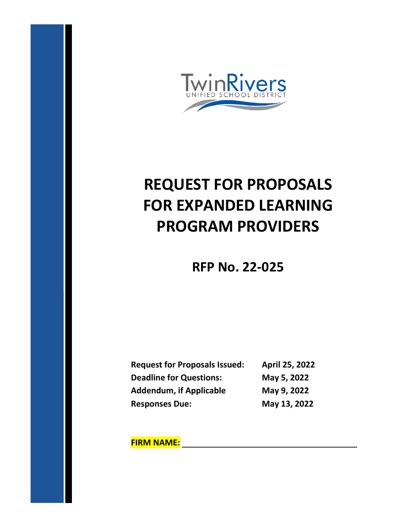

# **REQUEST FOR PROPOSALS FOR EXPANDED LEARNING PROGRAM PROVIDERS**

# **RFP No. 22-025**

| <b>Request for Proposals Issued:</b> | April 25, 2022 |
|--------------------------------------|----------------|
| <b>Deadline for Questions:</b>       | May 5, 2022    |
| <b>Addendum, if Applicable</b>       | May 9, 2022    |
| <b>Responses Due:</b>                | May 13, 2022   |

**FIRM NAME:**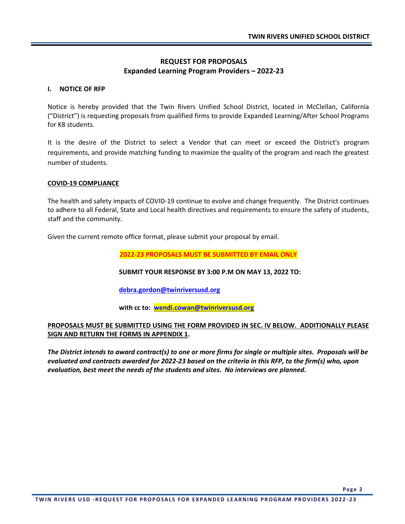#### **REQUEST FOR PROPOSALS Expanded Learning Program Providers – 2022-23**

#### **I. NOTICE OF RFP**

Notice is hereby provided that the Twin Rivers Unified School District, located in McClellan, California ("District") is requesting proposals from qualified firms to provide Expanded Learning/After School Programs for K8 students.

It is the desire of the District to select a Vendor that can meet or exceed the District's program requirements, and provide matching funding to maximize the quality of the program and reach the greatest number of students.

#### **COVID-19 COMPLIANCE**

The health and safety impacts of COVID-19 continue to evolve and change frequently. The District continues to adhere to all Federal, State and Local health directives and requirements to ensure the safety of students, staff and the community.

Given the current remote office format, please submit your proposal by email.

**2022-23 PROPOSALS MUST BE SUBMITTED BY EMAIL ONLY**

**SUBMIT YOUR RESPONSE BY 3:00 P.M ON MAY 13, 2022 TO:**

**[debra.gordon@twinriversusd.org](mailto:debra.gordon@twinriversusd.org)**

**with cc to: [wendi.cowan@twinriversusd.org](mailto:wendi.cowan@twinriversusd.org)**

#### **PROPOSALS MUST BE SUBMITTED USING THE FORM PROVIDED IN SEC. IV BELOW. ADDITIONALLY PLEASE SIGN AND RETURN THE FORMS IN APPENDIX 1.**

*The District intends to award contract(s) to one or more firms for single or multiple sites. Proposals will be evaluated and contracts awarded for 2022-23 based on the criteria in this RFP, to the firm(s) who, upon evaluation, best meet the needs of the students and sites. No interviews are planned.*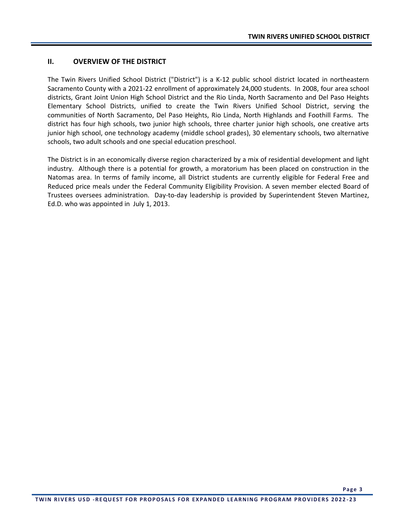#### **II. OVERVIEW OF THE DISTRICT**

The Twin Rivers Unified School District ("District") is a K-12 public school district located in northeastern Sacramento County with a 2021-22 enrollment of approximately 24,000 students. In 2008, four area school districts, Grant Joint Union High School District and the Rio Linda, North Sacramento and Del Paso Heights Elementary School Districts, unified to create the Twin Rivers Unified School District, serving the communities of North Sacramento, Del Paso Heights, Rio Linda, North Highlands and Foothill Farms. The district has four high schools, two junior high schools, three charter junior high schools, one creative arts junior high school, one technology academy (middle school grades), 30 elementary schools, two alternative schools, two adult schools and one special education preschool.

The District is in an economically diverse region characterized by a mix of residential development and light industry. Although there is a potential for growth, a moratorium has been placed on construction in the Natomas area. In terms of family income, all District students are currently eligible for Federal Free and Reduced price meals under the Federal Community Eligibility Provision. A seven member elected Board of Trustees oversees administration. Day-to-day leadership is provided by Superintendent Steven Martinez, Ed.D. who was appointed in July 1, 2013.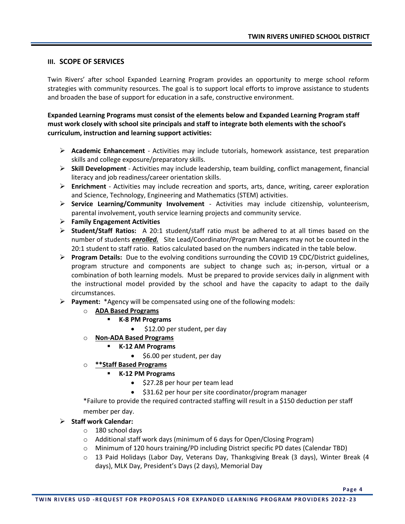#### **III. SCOPE OF SERVICES**

Twin Rivers' after school Expanded Learning Program provides an opportunity to merge school reform strategies with community resources. The goal is to support local efforts to improve assistance to students and broaden the base of support for education in a safe, constructive environment.

**Expanded Learning Programs must consist of the elements below and Expanded Learning Program staff must work closely with school site principals and staff to integrate both elements with the school's curriculum, instruction and learning support activities:**

- ➢ **Academic Enhancement** Activities may include tutorials, homework assistance, test preparation skills and college exposure/preparatory skills.
- ➢ **Skill Development** Activities may include leadership, team building, conflict management, financial literacy and job readiness/career orientation skills.
- ➢ **Enrichment** Activities may include recreation and sports, arts, dance, writing, career exploration and Science, Technology, Engineering and Mathematics (STEM) activities.
- ➢ **Service Learning/Community Involvement** Activities may include citizenship, volunteerism, parental involvement, youth service learning projects and community service.
- ➢ **Family Engagement Activities**
- ➢ **Student/Staff Ratios:** A 20:1 student/staff ratio must be adhered to at all times based on the number of students *enrolled.* Site Lead/Coordinator/Program Managers may not be counted in the 20:1 student to staff ratio. Ratios calculated based on the numbers indicated in the table below.
- ➢ **Program Details:** Due to the evolving conditions surrounding the COVID 19 CDC/District guidelines, program structure and components are subject to change such as; in-person, virtual or a combination of both learning models. Must be prepared to provide services daily in alignment with the instructional model provided by the school and have the capacity to adapt to the daily circumstances.
- ➢ **Payment:** \*Agency will be compensated using one of the following models:
	- o **ADA Based Programs**
		- **K-8 PM Programs**
			- \$12.00 per student, per day
	- o **Non-ADA Based Programs**
		- **K-12 AM Programs**
			- \$6.00 per student, per day
	- o **\*\*Staff Based Programs**
		- **K-12 PM Programs**
			- \$27.28 per hour per team lead
			- \$31.62 per hour per site coordinator/program manager

\*Failure to provide the required contracted staffing will result in a \$150 deduction per staff member per day.

#### ➢ **Staff work Calendar:**

- o 180 school days
- o Additional staff work days (minimum of 6 days for Open/Closing Program)
- o Minimum of 120 hours training/PD including District specific PD dates (Calendar TBD)
- o 13 Paid Holidays (Labor Day, Veterans Day, Thanksgiving Break (3 days), Winter Break (4 days), MLK Day, President's Days (2 days), Memorial Day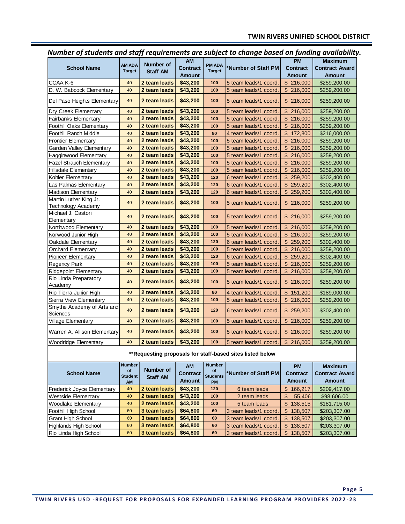|                                                           |                      |                       |                 |               | <u>.</u>                                 | <b>PM</b>       |                       |
|-----------------------------------------------------------|----------------------|-----------------------|-----------------|---------------|------------------------------------------|-----------------|-----------------------|
|                                                           | AM ADA               | <b>Number of</b>      | <b>AM</b>       | <b>PM ADA</b> |                                          |                 | <b>Maximum</b>        |
| <b>School Name</b>                                        | <b>Target</b>        | <b>Staff AM</b>       | <b>Contract</b> | <b>Target</b> | *Number of Staff PM                      | <b>Contract</b> | <b>Contract Award</b> |
|                                                           |                      |                       | <b>Amount</b>   |               |                                          | <b>Amount</b>   | <b>Amount</b>         |
| CCAA K-6                                                  | 40                   | 2 team leads          | \$43,200        | 100           | 5 team leads/1 coord.                    | \$216,000       | \$259,200.00          |
| D. W. Babcock Elementary                                  | 40                   | 2 team leads          | \$43,200        | 100           | 5 team leads/1 coord.                    | \$216,000       | \$259,200.00          |
| Del Paso Heights Elementary                               | 40                   | 2 team leads          | \$43,200        | 100           | 5 team leads/1 coord.                    | \$216,000       | \$259,200.00          |
| Dry Creek Elementary                                      | 40                   | 2 team leads          | \$43,200        | 100           | 5 team leads/1 coord.                    | \$216,000       | \$259,200.00          |
| <b>Fairbanks Elementary</b>                               | 40                   | 2 team leads          | \$43,200        | 100           | 5 team leads/1 coord.                    | \$216,000       | \$259,200.00          |
| <b>Foothill Oaks Elementary</b>                           | 40                   | 2 team leads          | \$43,200        | 100           | 5 team leads/1 coord.                    | \$216,000       | \$259,200.00          |
| <b>Foothill Ranch Middle</b>                              | 40                   | 2 team leads          | \$43,200        | 80            | 4 team leads/1 coord.                    | \$172,800       | \$216,000.00          |
| <b>Frontier Elementary</b>                                | 40                   | 2 team leads          | \$43,200        | 100           | 5 team leads/1 coord.                    | \$216,000       | \$259,200.00          |
| Garden Valley Elementary                                  | 40                   | 2 team leads          | \$43,200        | 100           | 5 team leads/1 coord.                    | \$216,000       | \$259,200.00          |
| Hagginwood Elementary                                     | 40                   | 2 team leads          | \$43,200        | 100           | 5 team leads/1 coord.                    | \$216,000       | \$259,200.00          |
| Hazel Strauch Elementary                                  | 40                   | 2 team leads          | \$43,200        | 100           | 5 team leads/1 coord.                    | \$216,000       | \$259,200.00          |
| <b>Hillsdale Elementary</b>                               | 40                   | 2 team leads          | \$43,200        | 100           | 5 team leads/1 coord                     | \$216,000       | \$259,200.00          |
| Kohler Elementary                                         | 40                   | 2 team leads          | \$43,200        | 120           | 6 team leads/1 coord.                    | \$259,200       | \$302,400.00          |
| Las Palmas Elementary                                     | 40                   | 2 team leads          | \$43,200        | 120           | 6 team leads/1 coord.                    | \$259,200       | \$302,400.00          |
| <b>Madison Elementary</b>                                 | 40                   | 2 team leads          | \$43,200        | 120           | 6 team leads/1 coord.                    | \$259,200       | \$302,400.00          |
| Martin Luther King Jr.                                    |                      |                       |                 |               |                                          |                 |                       |
| <b>Technology Academy</b>                                 | 40                   | 2 team leads          | \$43,200        | 100           | 5 team leads/1 coord.                    | \$216,000       | \$259,200.00          |
| Michael J. Castori                                        | 40                   | 2 team leads          | \$43,200        | 100           |                                          |                 |                       |
| Elementary                                                |                      |                       |                 |               | 5 team leads/1 coord.                    | \$216,000       | \$259,200.00          |
| Northwood Elementary                                      | 40                   | 2 team leads          | \$43,200        | 100           | 5 team leads/1 coord.                    | \$216,000       | \$259,200.00          |
| Norwood Junior High                                       | 40                   | 2 team leads          | \$43,200        | 100           | 5 team leads/1 coord.                    | \$216,000       | \$259,200.00          |
| Oakdale Elementary                                        | 40                   | 2 team leads          | \$43,200        | 120           | 6 team leads/1 coord.                    | \$259,200       | \$302,400.00          |
| <b>Orchard Elementary</b>                                 | 40                   | 2 team leads          | \$43,200        | 100           | 5 team leads/1 coord.                    | \$216,000       | \$259,200.00          |
| <b>Pioneer Elementary</b>                                 | 40                   | 2 team leads          | \$43,200        | 120           | 6 team leads/1 coord.                    | \$259,200       | \$302,400.00          |
| Regency Park                                              | 40                   | 2 team leads          | \$43,200        | 100           | 5 team leads/1 coord.                    | \$216,000       | \$259,200.00          |
| <b>Ridgepoint Elementary</b>                              | 40                   | 2 team leads          | \$43,200        | 100           | 5 team leads/1 coord.                    | \$216,000       | \$259,200.00          |
| Rio Linda Preparatory<br>Academy                          | 40                   | 2 team leads          | \$43,200        | 100           | 5 team leads/1 coord.                    | \$216,000       | \$259,200.00          |
| Rio Tierra Junior High                                    | 40                   | 2 team leads          | \$43,200        | 80            | 4 team leads/1 coord.                    | \$151,200       | \$189,000.00          |
| Sierra View Elementary                                    | 40                   | 2 team leads          | \$43,200        | 100           | 5 team leads/1 coord.                    | \$216,000       | \$259,200.00          |
| Smythe Academy of Arts and<br>Sciences                    | 40                   | 2 team leads          | \$43,200        | 120           | 6 team leads/1 coord.                    | \$259,200       | \$302,400.00          |
| Village Elementary                                        | 40                   | 2 team leads          | \$43,200        | 100           | 5 team leads/1 coord.                    | \$216,000       | \$259,200.00          |
| Warren A. Allison Elementary                              | 40                   | 2 team leads          | \$43,200        | 100           | 5 team leads/1 coord.                    | \$216,000       | \$259,200.00          |
| <b>Woodridge Elementary</b>                               | 40                   | 2 team leads          | \$43,200        | 100           | 5 team leads/1 coord.                    | \$216,000       | \$259,200.00          |
| **Requesting proposals for staff-based sites listed below |                      |                       |                 |               |                                          |                 |                       |
|                                                           | <b>Number</b>        |                       | <b>AM</b>       | <b>Number</b> |                                          | <b>PM</b>       | <b>Maximum</b>        |
| <b>School Name</b>                                        | of<br><b>Student</b> | Number of<br>Staff AM | Contract        |               | Students <sup>*</sup> Number of Staff PM | <b>Contract</b> | <b>Contract Award</b> |

*Number of students and staff requirements are subject to change based on funding availability.*

**AM Staff AM Amount PM Amount Amount** Frederick Joyce Elementary <sup>40</sup> **2 team leads \$43,200 <sup>120</sup>** 6 team leads \$ 166,217 \$209,417.00 Westside Elementary <sup>40</sup> **2 team leads \$43,200 <sup>100</sup>** 2 team leads \$ 55,406 \$98,606.00 Woodlake Elementary <sup>40</sup> **2 team leads \$43,200 <sup>100</sup>** 5 team leads \$ 138,515 \$181,715.00 Foothill High School <sup>60</sup> **3 team leads \$64,800 <sup>60</sup>** 3 team leads/1 coord. \$ 138,507 \$203,307.00 Grant High School **60 3 team leads** \$64,800 **60** 3 team leads/1 coord. \$ 138,507 \$203,307.00 Highlands High School <sup>60</sup> **3 team leads \$64,800 <sup>60</sup>** 3 team leads/1 coord. \$ 138,507 \$203,307.00 Rio Linda High School <sup>60</sup> **3 team leads \$64,800 <sup>60</sup>** 3 team leads/1 coord. \$ 138,507 \$203,307.00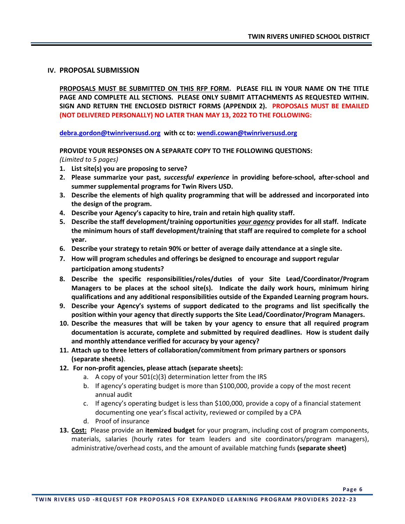#### **IV. PROPOSAL SUBMISSION**

**PROPOSALS MUST BE SUBMITTED ON THIS RFP FORM. PLEASE FILL IN YOUR NAME ON THE TITLE PAGE AND COMPLETE ALL SECTIONS. PLEASE ONLY SUBMIT ATTACHMENTS AS REQUESTED WITHIN. SIGN AND RETURN THE ENCLOSED DISTRICT FORMS (APPENDIX 2). PROPOSALS MUST BE EMAILED (NOT DELIVERED PERSONALLY) NO LATER THAN MAY 13, 2022 TO THE FOLLOWING:** 

**[debra.gordon@twinriversusd.org](mailto:debra.gordon@twinriversusd.org) with cc to[: wendi.cowan@twinriversusd.org](mailto:wendi.cowan@twinriversusd.org)**

**PROVIDE YOUR RESPONSES ON A SEPARATE COPY TO THE FOLLOWING QUESTIONS:**

*(Limited to 5 pages)*

- **1. List site(s) you are proposing to serve?**
- **2. Please summarize your past,** *successful experience* **in providing before-school, after-school and summer supplemental programs for Twin Rivers USD.**
- **3. Describe the elements of high quality programming that will be addressed and incorporated into the design of the program.**
- **4. Describe your Agency's capacity to hire, train and retain high quality staff.**
- **5. Describe the staff development/training opportunities** *your agency* **provides for all staff. Indicate the minimum hours of staff development/training that staff are required to complete for a school year.**
- **6. Describe your strategy to retain 90% or better of average daily attendance at a single site.**
- **7. How will program schedules and offerings be designed to encourage and support regular participation among students?**
- **8. Describe the specific responsibilities/roles/duties of your Site Lead/Coordinator/Program Managers to be places at the school site(s). Indicate the daily work hours, minimum hiring qualifications and any additional responsibilities outside of the Expanded Learning program hours.**
- **9. Describe your Agency's systems of support dedicated to the programs and list specifically the position within your agency that directly supports the Site Lead/Coordinator/Program Managers.**
- **10. Describe the measures that will be taken by your agency to ensure that all required program documentation is accurate, complete and submitted by required deadlines. How is student daily and monthly attendance verified for accuracy by your agency?**
- **11. Attach up to three letters of collaboration/commitment from primary partners or sponsors (separate sheets)**.
- **12. For non-profit agencies, please attach (separate sheets):** 
	- a. A copy of your 501(c)(3) determination letter from the IRS
	- b. If agency's operating budget is more than \$100,000, provide a copy of the most recent annual audit
	- c. If agency's operating budget is less than \$100,000, provide a copy of a financial statement documenting one year's fiscal activity, reviewed or compiled by a CPA
	- d. Proof of insurance
- **13. Cost:** Please provide an **itemized budget** for your program, including cost of program components, materials, salaries (hourly rates for team leaders and site coordinators/program managers), administrative/overhead costs, and the amount of available matching funds **(separate sheet)**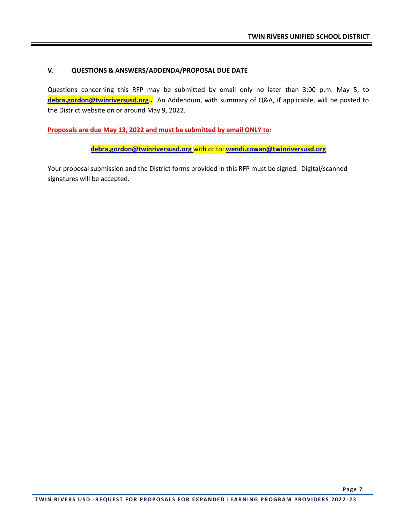#### **V. QUESTIONS & ANSWERS/ADDENDA/PROPOSAL DUE DATE**

Questions concerning this RFP may be submitted by email only no later than 3:00 p.m. May 5, to **[debra.gordon@twinriversusd.org](mailto:debra.gordon@twinriversusd.org)**.**.** An Addendum, with summary of Q&A, if applicable, will be posted to the District website on or around May 9, 2022.

**Proposals are due May 13, 2022 and must be submitted by email ONLY to:** 

**[debra.gordon@twinriversusd.org](mailto:debra.gordon@twinriversusd.org)** with cc to: **[wendi.cowan@twinriversusd.org](mailto:wendi.cowan@twinriversusd.org)**

Your proposal submission and the District forms provided in this RFP must be signed. Digital/scanned signatures will be accepted.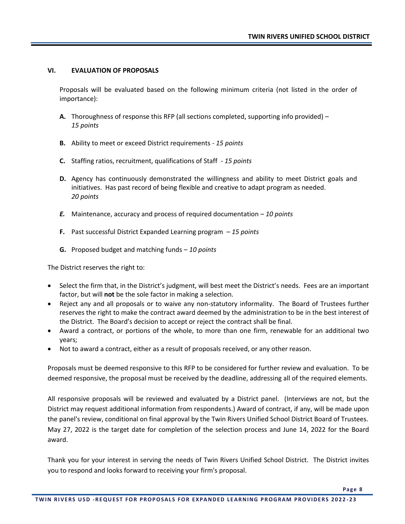#### **VI. EVALUATION OF PROPOSALS**

Proposals will be evaluated based on the following minimum criteria (not listed in the order of importance):

- **A.** Thoroughness of response this RFP (all sections completed, supporting info provided) *15 points*
- **B.** Ability to meet or exceed District requirements *15 points*
- **C.** Staffing ratios, recruitment, qualifications of Staff *15 points*
- **D.** Agency has continuously demonstrated the willingness and ability to meet District goals and initiatives. Has past record of being flexible and creative to adapt program as needed. *20 points*
- *E.* Maintenance, accuracy and process of required documentation *10 points*
- **F.** Past successful District Expanded Learning program *15 points*
- **G.** Proposed budget and matching funds *10 points*

The District reserves the right to:

- Select the firm that, in the District's judgment, will best meet the District's needs. Fees are an important factor, but will **not** be the sole factor in making a selection.
- Reject any and all proposals or to waive any non-statutory informality. The Board of Trustees further reserves the right to make the contract award deemed by the administration to be in the best interest of the District. The Board's decision to accept or reject the contract shall be final.
- Award a contract, or portions of the whole, to more than one firm, renewable for an additional two years;
- Not to award a contract, either as a result of proposals received, or any other reason.

Proposals must be deemed responsive to this RFP to be considered for further review and evaluation. To be deemed responsive, the proposal must be received by the deadline, addressing all of the required elements.

All responsive proposals will be reviewed and evaluated by a District panel. (Interviews are not, but the District may request additional information from respondents.) Award of contract, if any, will be made upon the panel's review, conditional on final approval by the Twin Rivers Unified School District Board of Trustees. May 27, 2022 is the target date for completion of the selection process and June 14, 2022 for the Board award.

Thank you for your interest in serving the needs of Twin Rivers Unified School District. The District invites you to respond and looks forward to receiving your firm's proposal.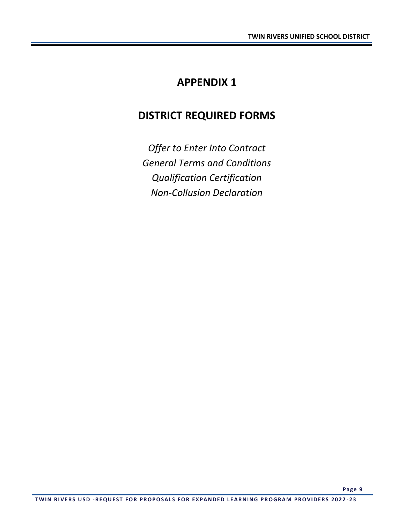# **APPENDIX 1**

## **DISTRICT REQUIRED FORMS**

*Offer to Enter Into Contract General Terms and Conditions Qualification Certification Non-Collusion Declaration*

**Page 9**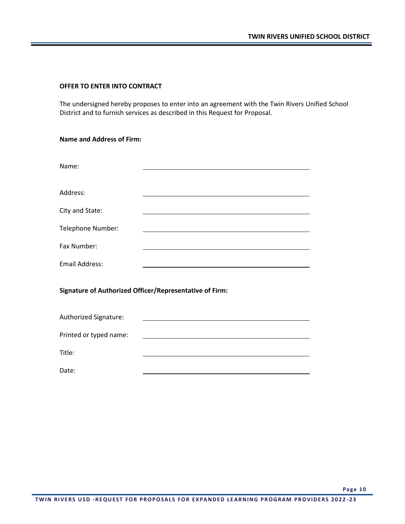#### **OFFER TO ENTER INTO CONTRACT**

The undersigned hereby proposes to enter into an agreement with the Twin Rivers Unified School District and to furnish services as described in this Request for Proposal.

| <b>Name and Address of Firm:</b> |  |  |
|----------------------------------|--|--|
|----------------------------------|--|--|

| Name:                                                   |                                                                                                                        |  |  |  |
|---------------------------------------------------------|------------------------------------------------------------------------------------------------------------------------|--|--|--|
| Address:                                                |                                                                                                                        |  |  |  |
| City and State:                                         |                                                                                                                        |  |  |  |
| Telephone Number:                                       | <u> 1989 - Johann Barn, mars ann an t-Amhain an t-Amhain ann an t-Amhain an t-Amhain an t-Amhain an t-Amhain an t-</u> |  |  |  |
| Fax Number:                                             | <u> 1989 - Johann Barn, amerikansk politiker (d. 1989)</u>                                                             |  |  |  |
| <b>Email Address:</b>                                   |                                                                                                                        |  |  |  |
| Signature of Authorized Officer/Representative of Firm: |                                                                                                                        |  |  |  |
| Authorized Signature:                                   |                                                                                                                        |  |  |  |
| Printed or typed name:                                  |                                                                                                                        |  |  |  |
| Title:                                                  |                                                                                                                        |  |  |  |
| Date:                                                   |                                                                                                                        |  |  |  |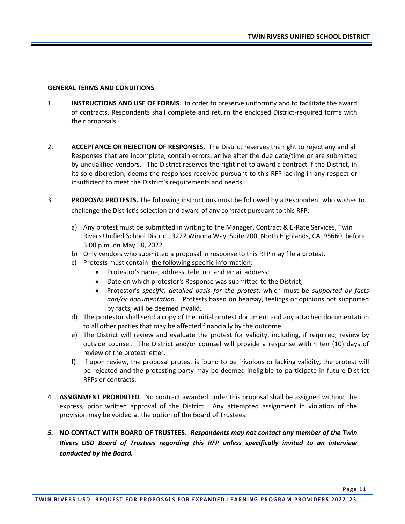#### **GENERAL TERMS AND CONDITIONS**

- 1. **INSTRUCTIONS AND USE OF FORMS**. In order to preserve uniformity and to facilitate the award of contracts, Respondents shall complete and return the enclosed District-required forms with their proposals.
- 2. **ACCEPTANCE OR REJECTION OF RESPONSES**. The District reserves the right to reject any and all Responses that are incomplete, contain errors, arrive after the due date/time or are submitted by unqualified vendors. The District reserves the right not to award a contract if the District, in its sole discretion, deems the responses received pursuant to this RFP lacking in any respect or insufficient to meet the District's requirements and needs.
- 3. **PROPOSAL PROTESTS.** The following instructions must be followed by a Respondent who wishes to challenge the District's selection and award of any contract pursuant to this RFP:
	- a) Any protest must be submitted in writing to the Manager, Contract & E-Rate Services, Twin Rivers Unified School District, 3222 Winona Way, Suite 200, North Highlands, CA 95660, before 3:00 p.m. on May 18, 2022.
	- b) Only vendors who submitted a proposal in response to this RFP may file a protest.
	- c) Protests must contain the following specific information:
		- Protestor's name, address, tele. no. and email address;
		- Date on which protestor's Response was submitted to the District;
		- Protestor's *specific, detailed basis for the protest*, which must be *supported by facts and/or documentation*. Protests based on hearsay, feelings or opinions not supported by facts, will be deemed invalid.
	- d) The protestor shall send a copy of the initial protest document and any attached documentation to all other parties that may be affected financially by the outcome.
	- e) The District will review and evaluate the protest for validity, including, if required, review by outside counsel. The District and/or counsel will provide a response within ten (10) days of review of the protest letter.
	- f) If upon review, the proposal protest is found to be frivolous or lacking validity, the protest will be rejected and the protesting party may be deemed ineligible to participate in future District RFPs or contracts.
- 4. **ASSIGNMENT PROHIBITED**. No contract awarded under this proposal shall be assigned without the express, prior written approval of the District. Any attempted assignment in violation of the provision may be voided at the option of the Board of Trustees.
- *5.* **NO CONTACT WITH BOARD OF TRUSTEES**. *Respondents may not contact any member of the Twin Rivers USD Board of Trustees regarding this RFP unless specifically invited to an interview conducted by the Board.*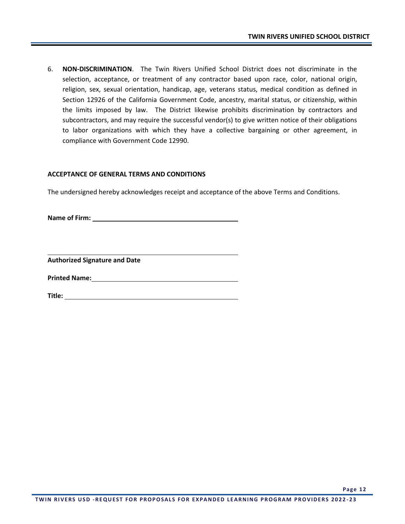6. **NON-DISCRIMINATION**. The Twin Rivers Unified School District does not discriminate in the selection, acceptance, or treatment of any contractor based upon race, color, national origin, religion, sex, sexual orientation, handicap, age, veterans status, medical condition as defined in Section 12926 of the California Government Code, ancestry, marital status, or citizenship, within the limits imposed by law. The District likewise prohibits discrimination by contractors and subcontractors, and may require the successful vendor(s) to give written notice of their obligations to labor organizations with which they have a collective bargaining or other agreement, in compliance with Government Code 12990.

#### **ACCEPTANCE OF GENERAL TERMS AND CONDITIONS**

The undersigned hereby acknowledges receipt and acceptance of the above Terms and Conditions.

**Name of Firm:** 

**Authorized Signature and Date**

**Printed Name:**

**Title:**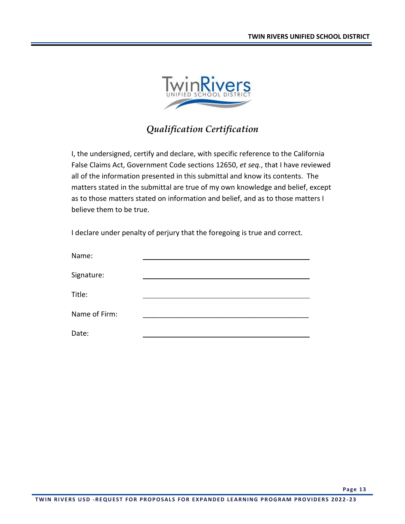

### *Qualification Certification*

I, the undersigned, certify and declare, with specific reference to the California False Claims Act, Government Code sections 12650, *et seq.*, that I have reviewed all of the information presented in this submittal and know its contents. The matters stated in the submittal are true of my own knowledge and belief, except as to those matters stated on information and belief, and as to those matters I believe them to be true.

I declare under penalty of perjury that the foregoing is true and correct.

| Name:         |  |
|---------------|--|
|               |  |
| Signature:    |  |
| Title:        |  |
|               |  |
| Name of Firm: |  |
| Date:         |  |
|               |  |